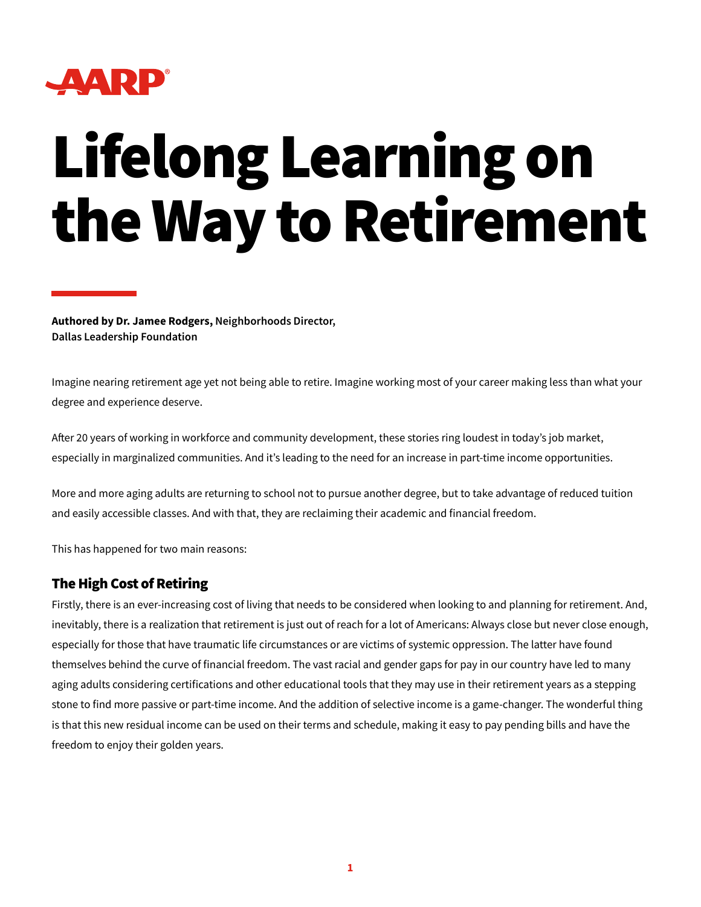

## Lifelong Learning on the Way to Retirement

**Authored by Dr. Jamee Rodgers, Neighborhoods Director, Dallas Leadership Foundation**

Imagine nearing retirement age yet not being able to retire. Imagine working most of your career making less than what your degree and experience deserve.

After 20 years of working in workforce and community development, these stories ring loudest in today's job market, especially in marginalized communities. And it's leading to the need for an increase in part-time income opportunities.

More and more aging adults are returning to school not to pursue another degree, but to take advantage of reduced tuition and easily accessible classes. And with that, they are reclaiming their academic and financial freedom.

This has happened for two main reasons:

## The High Cost of Retiring

Firstly, there is an ever-increasing cost of living that needs to be considered when looking to and planning for retirement. And, inevitably, there is a realization that retirement is just out of reach for a lot of Americans: Always close but never close enough, especially for those that have traumatic life circumstances or are victims of systemic oppression. The latter have found themselves behind the curve of financial freedom. The vast racial and gender gaps for pay in our country have led to many aging adults considering certifications and other educational tools that they may use in their retirement years as a stepping stone to find more passive or part-time income. And the addition of selective income is a game-changer. The wonderful thing is that this new residual income can be used on their terms and schedule, making it easy to pay pending bills and have the freedom to enjoy their golden years.